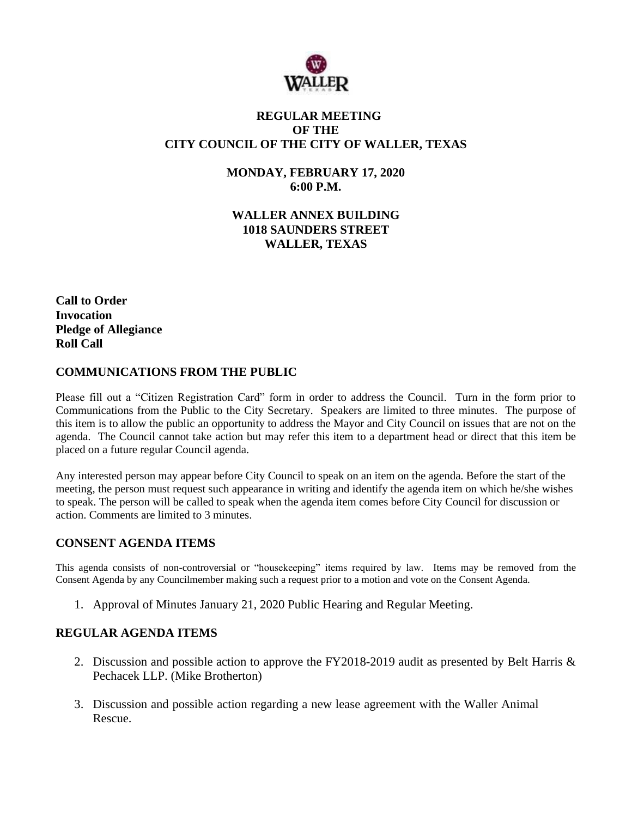

# **REGULAR MEETING OF THE CITY COUNCIL OF THE CITY OF WALLER, TEXAS**

**MONDAY, FEBRUARY 17, 2020 6:00 P.M.**

**WALLER ANNEX BUILDING 1018 SAUNDERS STREET WALLER, TEXAS**

**Call to Order Invocation Pledge of Allegiance Roll Call**

## **COMMUNICATIONS FROM THE PUBLIC**

Please fill out a "Citizen Registration Card" form in order to address the Council. Turn in the form prior to Communications from the Public to the City Secretary. Speakers are limited to three minutes. The purpose of this item is to allow the public an opportunity to address the Mayor and City Council on issues that are not on the agenda. The Council cannot take action but may refer this item to a department head or direct that this item be placed on a future regular Council agenda.

Any interested person may appear before City Council to speak on an item on the agenda. Before the start of the meeting, the person must request such appearance in writing and identify the agenda item on which he/she wishes to speak. The person will be called to speak when the agenda item comes before City Council for discussion or action. Comments are limited to 3 minutes.

### **CONSENT AGENDA ITEMS**

This agenda consists of non-controversial or "housekeeping" items required by law. Items may be removed from the Consent Agenda by any Councilmember making such a request prior to a motion and vote on the Consent Agenda.

1. Approval of Minutes January 21, 2020 Public Hearing and Regular Meeting.

### **REGULAR AGENDA ITEMS**

- 2. Discussion and possible action to approve the FY2018-2019 audit as presented by Belt Harris & Pechacek LLP. (Mike Brotherton)
- 3. Discussion and possible action regarding a new lease agreement with the Waller Animal Rescue.